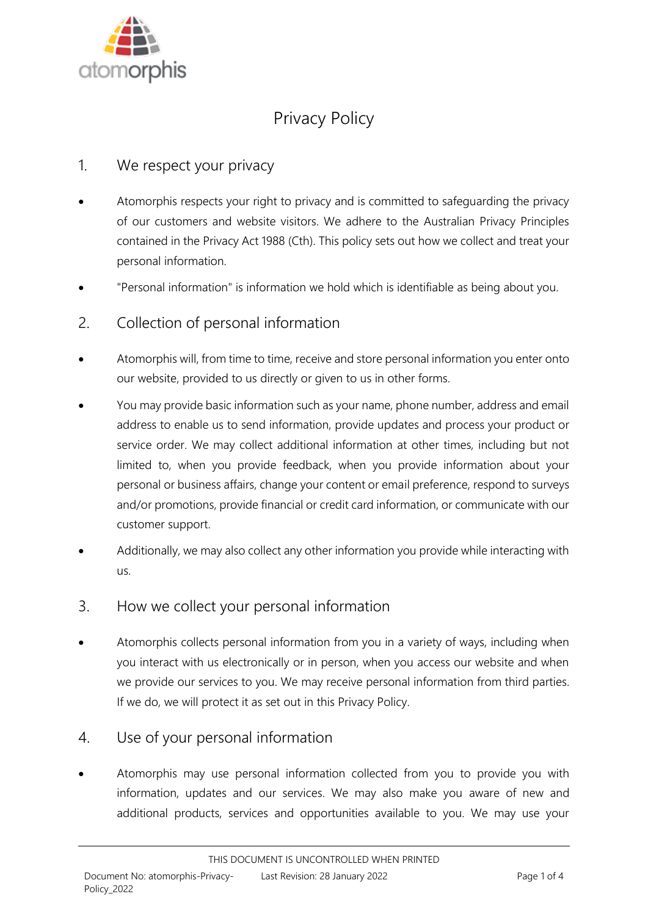

# Privacy Policy

## 1. We respect your privacy

- Atomorphis respects your right to privacy and is committed to safeguarding the privacy of our customers and website visitors. We adhere to the Australian Privacy Principles contained in the Privacy Act 1988 (Cth). This policy sets out how we collect and treat your personal information.
- "Personal information" is information we hold which is identifiable as being about you.
- 2. Collection of personal information
- Atomorphis will, from time to time, receive and store personal information you enter onto our website, provided to us directly or given to us in other forms.
- You may provide basic information such as your name, phone number, address and email address to enable us to send information, provide updates and process your product or service order. We may collect additional information at other times, including but not limited to, when you provide feedback, when you provide information about your personal or business affairs, change your content or email preference, respond to surveys and/or promotions, provide financial or credit card information, or communicate with our customer support.
- Additionally, we may also collect any other information you provide while interacting with us.
- 3. How we collect your personal information
- Atomorphis collects personal information from you in a variety of ways, including when you interact with us electronically or in person, when you access our website and when we provide our services to you. We may receive personal information from third parties. If we do, we will protect it as set out in this Privacy Policy.

## 4. Use of your personal information

• Atomorphis may use personal information collected from you to provide you with information, updates and our services. We may also make you aware of new and additional products, services and opportunities available to you. We may use your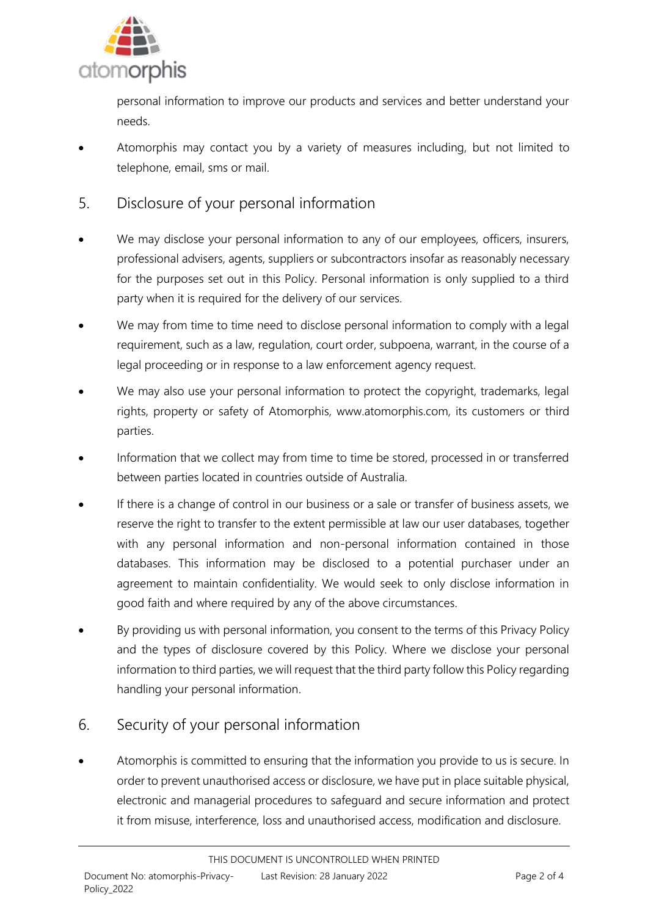

personal information to improve our products and services and better understand your needs.

- Atomorphis may contact you by a variety of measures including, but not limited to telephone, email, sms or mail.
- 5. Disclosure of your personal information
- We may disclose your personal information to any of our employees, officers, insurers, professional advisers, agents, suppliers or subcontractors insofar as reasonably necessary for the purposes set out in this Policy. Personal information is only supplied to a third party when it is required for the delivery of our services.
- We may from time to time need to disclose personal information to comply with a legal requirement, such as a law, regulation, court order, subpoena, warrant, in the course of a legal proceeding or in response to a law enforcement agency request.
- We may also use your personal information to protect the copyright, trademarks, legal rights, property or safety of Atomorphis, www.atomorphis.com, its customers or third parties.
- Information that we collect may from time to time be stored, processed in or transferred between parties located in countries outside of Australia.
- If there is a change of control in our business or a sale or transfer of business assets, we reserve the right to transfer to the extent permissible at law our user databases, together with any personal information and non-personal information contained in those databases. This information may be disclosed to a potential purchaser under an agreement to maintain confidentiality. We would seek to only disclose information in good faith and where required by any of the above circumstances.
- By providing us with personal information, you consent to the terms of this Privacy Policy and the types of disclosure covered by this Policy. Where we disclose your personal information to third parties, we will request that the third party follow this Policy regarding handling your personal information.

# 6. Security of your personal information

• Atomorphis is committed to ensuring that the information you provide to us is secure. In order to prevent unauthorised access or disclosure, we have put in place suitable physical, electronic and managerial procedures to safeguard and secure information and protect it from misuse, interference, loss and unauthorised access, modification and disclosure.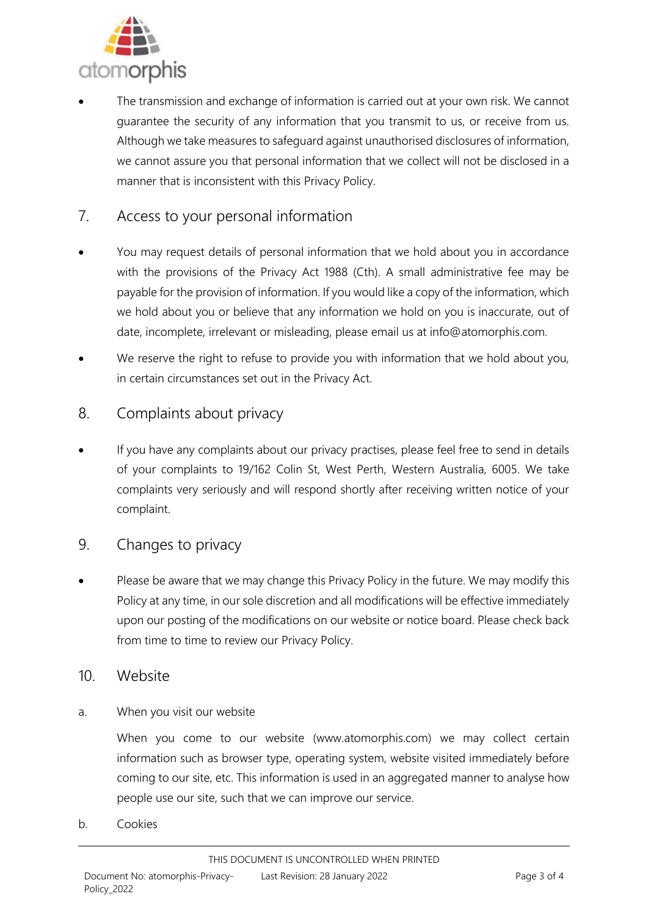

The transmission and exchange of information is carried out at your own risk. We cannot guarantee the security of any information that you transmit to us, or receive from us. Although we take measures to safeguard against unauthorised disclosures of information, we cannot assure you that personal information that we collect will not be disclosed in a manner that is inconsistent with this Privacy Policy.

## 7. Access to your personal information

- You may request details of personal information that we hold about you in accordance with the provisions of the Privacy Act 1988 (Cth). A small administrative fee may be payable for the provision of information. If you would like a copy of the information, which we hold about you or believe that any information we hold on you is inaccurate, out of date, incomplete, irrelevant or misleading, please email us at info@atomorphis.com.
- We reserve the right to refuse to provide you with information that we hold about you, in certain circumstances set out in the Privacy Act.

### 8. Complaints about privacy

If you have any complaints about our privacy practises, please feel free to send in details of your complaints to 19/162 Colin St, West Perth, Western Australia, 6005. We take complaints very seriously and will respond shortly after receiving written notice of your complaint.

#### 9. Changes to privacy

Please be aware that we may change this Privacy Policy in the future. We may modify this Policy at any time, in our sole discretion and all modifications will be effective immediately upon our posting of the modifications on our website or notice board. Please check back from time to time to review our Privacy Policy.

#### 10. Website

a. When you visit our website

When you come to our website (www.atomorphis.com) we may collect certain information such as browser type, operating system, website visited immediately before coming to our site, etc. This information is used in an aggregated manner to analyse how people use our site, such that we can improve our service.

b. Cookies